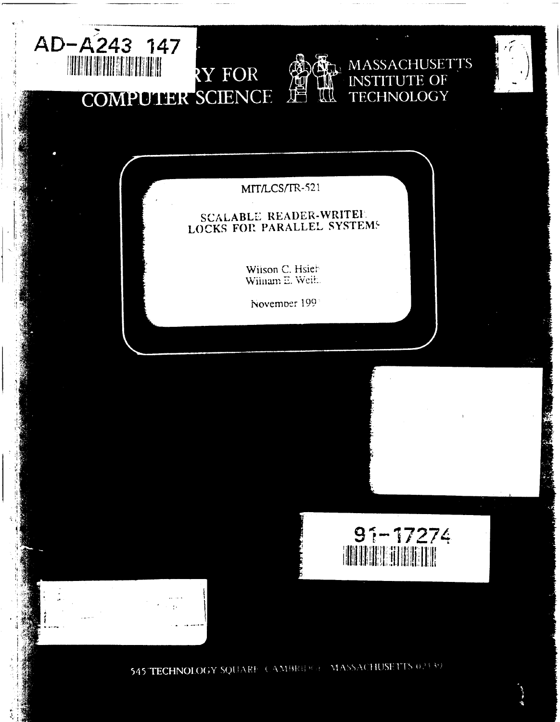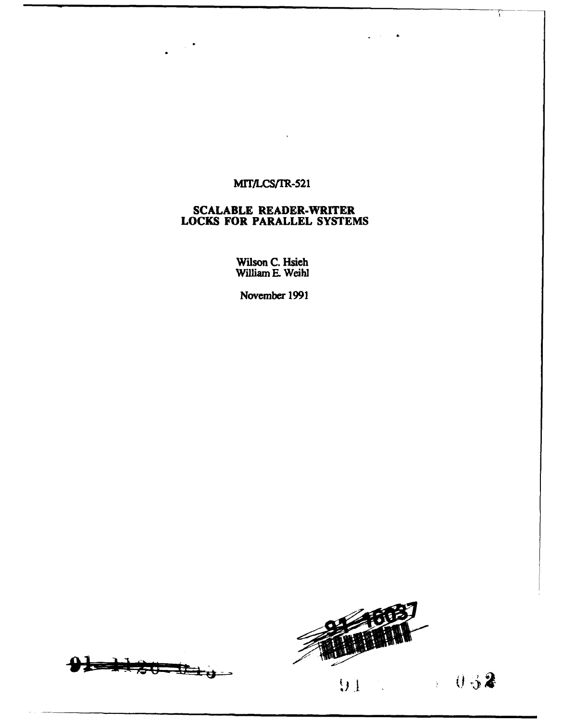## MIT/LCS/TR-521

 $\sim 10^4$ 

#### **SCALABLE** READER-WRITER **LOCKS** FOR PARALLEL **SYSTEMS**

Wilson **C.** Hsieh William E. Weihi

November **1991**





 $\sim$  $\bullet$ 

 $\mathbf{r}$ 

 $1032$  $91 -$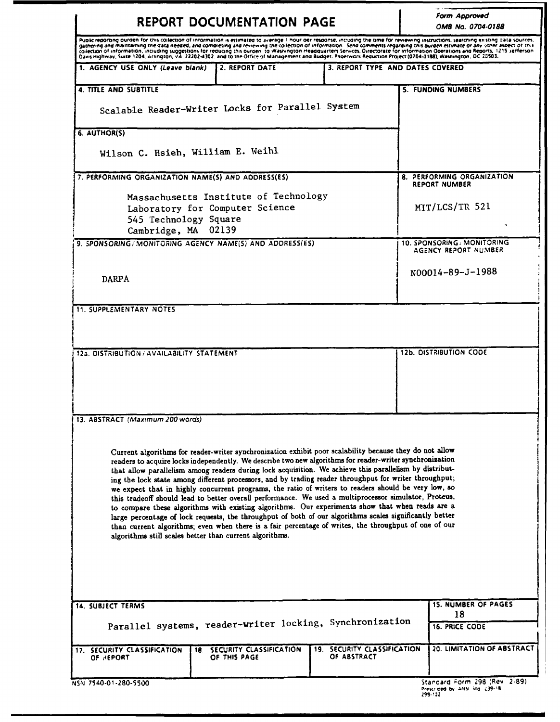|                                                                                                                                                                                                                                                                                                                                                                                                                                                                                                                                                                                                                                                                                                                                     |     | <b>REPORT DOCUMENTATION PAGE</b>                                                                                                                                                                                                                                                                                                                                                                                                                                                                                                                                                                                                                                                                                                                                                                                                                                                                                                                                                  |  |                                            | Form Approved<br>OMB No. 0704-0188                                         |
|-------------------------------------------------------------------------------------------------------------------------------------------------------------------------------------------------------------------------------------------------------------------------------------------------------------------------------------------------------------------------------------------------------------------------------------------------------------------------------------------------------------------------------------------------------------------------------------------------------------------------------------------------------------------------------------------------------------------------------------|-----|-----------------------------------------------------------------------------------------------------------------------------------------------------------------------------------------------------------------------------------------------------------------------------------------------------------------------------------------------------------------------------------------------------------------------------------------------------------------------------------------------------------------------------------------------------------------------------------------------------------------------------------------------------------------------------------------------------------------------------------------------------------------------------------------------------------------------------------------------------------------------------------------------------------------------------------------------------------------------------------|--|--------------------------------------------|----------------------------------------------------------------------------|
| Puplic reporting burden for this collection of information is estimated to average 1 hour der response, including the time for reviewing instructions, searching existing data sources,<br>gathering and maintaining the data needed, and completing and reviewing the collection of information. Send comments regarding this burden estimate or any other aspect of this<br>collection of information, including suggestions for reducing this ourden to Washington Headquarters Services, Directorate for information Operations and Reports, 1215 Jefferson.<br>Davis Highway, Suite 1204, Arlington, VA 22202-4302, and to the Otfice of Management and Budget, Paperwork Reduction Project (0704-0188), Washington, DC 20503. |     |                                                                                                                                                                                                                                                                                                                                                                                                                                                                                                                                                                                                                                                                                                                                                                                                                                                                                                                                                                                   |  |                                            |                                                                            |
| 1. AGENCY USE ONLY (Leave blank)                                                                                                                                                                                                                                                                                                                                                                                                                                                                                                                                                                                                                                                                                                    |     | 2. REPORT DATE                                                                                                                                                                                                                                                                                                                                                                                                                                                                                                                                                                                                                                                                                                                                                                                                                                                                                                                                                                    |  | 3. REPORT TYPE AND DATES COVERED           |                                                                            |
| <b>4. TITLE AND SUBTITLE</b>                                                                                                                                                                                                                                                                                                                                                                                                                                                                                                                                                                                                                                                                                                        |     |                                                                                                                                                                                                                                                                                                                                                                                                                                                                                                                                                                                                                                                                                                                                                                                                                                                                                                                                                                                   |  |                                            | <b>S. FUNDING NUMBERS</b>                                                  |
| Scalable Reader-Writer Locks for Parallel System                                                                                                                                                                                                                                                                                                                                                                                                                                                                                                                                                                                                                                                                                    |     |                                                                                                                                                                                                                                                                                                                                                                                                                                                                                                                                                                                                                                                                                                                                                                                                                                                                                                                                                                                   |  |                                            |                                                                            |
| 6. AUTHOR(S)                                                                                                                                                                                                                                                                                                                                                                                                                                                                                                                                                                                                                                                                                                                        |     |                                                                                                                                                                                                                                                                                                                                                                                                                                                                                                                                                                                                                                                                                                                                                                                                                                                                                                                                                                                   |  |                                            |                                                                            |
| Wilson C. Hsieh, William E. Weihl                                                                                                                                                                                                                                                                                                                                                                                                                                                                                                                                                                                                                                                                                                   |     |                                                                                                                                                                                                                                                                                                                                                                                                                                                                                                                                                                                                                                                                                                                                                                                                                                                                                                                                                                                   |  |                                            |                                                                            |
| 7. PERFORMING ORGANIZATION NAME(S) AND ADDRESS(ES)                                                                                                                                                                                                                                                                                                                                                                                                                                                                                                                                                                                                                                                                                  |     |                                                                                                                                                                                                                                                                                                                                                                                                                                                                                                                                                                                                                                                                                                                                                                                                                                                                                                                                                                                   |  |                                            | 8. PERFORMING ORGANIZATION<br><b>REPORT NUMBER</b>                         |
| Massachusetts Institute of Technology                                                                                                                                                                                                                                                                                                                                                                                                                                                                                                                                                                                                                                                                                               |     |                                                                                                                                                                                                                                                                                                                                                                                                                                                                                                                                                                                                                                                                                                                                                                                                                                                                                                                                                                                   |  |                                            |                                                                            |
| Laboratory for Computer Science                                                                                                                                                                                                                                                                                                                                                                                                                                                                                                                                                                                                                                                                                                     |     |                                                                                                                                                                                                                                                                                                                                                                                                                                                                                                                                                                                                                                                                                                                                                                                                                                                                                                                                                                                   |  |                                            | MIT/LCS/TR 521                                                             |
| 545 Technology Square<br>Cambridge, MA 02139                                                                                                                                                                                                                                                                                                                                                                                                                                                                                                                                                                                                                                                                                        |     |                                                                                                                                                                                                                                                                                                                                                                                                                                                                                                                                                                                                                                                                                                                                                                                                                                                                                                                                                                                   |  |                                            |                                                                            |
| 9. SPONSORING/MONITORING AGENCY NAME(S) AND ADDRESS(ES)                                                                                                                                                                                                                                                                                                                                                                                                                                                                                                                                                                                                                                                                             |     |                                                                                                                                                                                                                                                                                                                                                                                                                                                                                                                                                                                                                                                                                                                                                                                                                                                                                                                                                                                   |  |                                            | 10. SPONSORING / MONITORING<br>AGENCY REPORT NUMBER                        |
|                                                                                                                                                                                                                                                                                                                                                                                                                                                                                                                                                                                                                                                                                                                                     |     |                                                                                                                                                                                                                                                                                                                                                                                                                                                                                                                                                                                                                                                                                                                                                                                                                                                                                                                                                                                   |  |                                            |                                                                            |
| <b>DARPA</b>                                                                                                                                                                                                                                                                                                                                                                                                                                                                                                                                                                                                                                                                                                                        |     |                                                                                                                                                                                                                                                                                                                                                                                                                                                                                                                                                                                                                                                                                                                                                                                                                                                                                                                                                                                   |  |                                            | N00014-89-J-1988                                                           |
| <b>11. SUPPLEMENTARY NOTES</b>                                                                                                                                                                                                                                                                                                                                                                                                                                                                                                                                                                                                                                                                                                      |     |                                                                                                                                                                                                                                                                                                                                                                                                                                                                                                                                                                                                                                                                                                                                                                                                                                                                                                                                                                                   |  |                                            |                                                                            |
|                                                                                                                                                                                                                                                                                                                                                                                                                                                                                                                                                                                                                                                                                                                                     |     |                                                                                                                                                                                                                                                                                                                                                                                                                                                                                                                                                                                                                                                                                                                                                                                                                                                                                                                                                                                   |  |                                            |                                                                            |
| 12a. DISTRIBUTION / AVAILABILITY STATEMENT                                                                                                                                                                                                                                                                                                                                                                                                                                                                                                                                                                                                                                                                                          |     |                                                                                                                                                                                                                                                                                                                                                                                                                                                                                                                                                                                                                                                                                                                                                                                                                                                                                                                                                                                   |  |                                            | <b>12b. DISTRIBUTION CODE</b>                                              |
|                                                                                                                                                                                                                                                                                                                                                                                                                                                                                                                                                                                                                                                                                                                                     |     |                                                                                                                                                                                                                                                                                                                                                                                                                                                                                                                                                                                                                                                                                                                                                                                                                                                                                                                                                                                   |  |                                            |                                                                            |
|                                                                                                                                                                                                                                                                                                                                                                                                                                                                                                                                                                                                                                                                                                                                     |     |                                                                                                                                                                                                                                                                                                                                                                                                                                                                                                                                                                                                                                                                                                                                                                                                                                                                                                                                                                                   |  |                                            |                                                                            |
|                                                                                                                                                                                                                                                                                                                                                                                                                                                                                                                                                                                                                                                                                                                                     |     |                                                                                                                                                                                                                                                                                                                                                                                                                                                                                                                                                                                                                                                                                                                                                                                                                                                                                                                                                                                   |  |                                            |                                                                            |
| 13. ABSTRACT (Maximum 200 words)                                                                                                                                                                                                                                                                                                                                                                                                                                                                                                                                                                                                                                                                                                    |     |                                                                                                                                                                                                                                                                                                                                                                                                                                                                                                                                                                                                                                                                                                                                                                                                                                                                                                                                                                                   |  |                                            |                                                                            |
| algorithms still scales better than current algorithms.                                                                                                                                                                                                                                                                                                                                                                                                                                                                                                                                                                                                                                                                             |     | Current algorithms for reader-writer synchronization exhibit poor scalability because they do not allow<br>readers to acquire locks independently. We describe two new algorithms for reader-writer synchronization<br>that allow parallelism among readers during lock acquisition. We achieve this parallelism by distribut-<br>ing the lock state among different processors, and by trading reader throughput for writer throughput;<br>we expect that in highly concurrent programs, the ratio of writers to readers should be very low, so<br>this tradeoff should lead to better overall performance. We used a multiprocessor simulator, Proteus,<br>to compare these algorithms with existing algorithms. Our experiments show that when reads are a<br>large percentage of lock requests, the throughput of both of our algorithms scales significantly better<br>than current algorithms; even when there is a fair percentage of writes, the throughput of one of our |  |                                            |                                                                            |
| <b>14. SUBJECT TERMS</b><br>Parallel systems, reader-writer locking, Synchronization                                                                                                                                                                                                                                                                                                                                                                                                                                                                                                                                                                                                                                                |     |                                                                                                                                                                                                                                                                                                                                                                                                                                                                                                                                                                                                                                                                                                                                                                                                                                                                                                                                                                                   |  |                                            | <b>15. NUMBER OF PAGES</b><br>18<br><b>16. PRICE CODE</b>                  |
| 17. SECURITY CLASSIFICATION<br>OF REPORT                                                                                                                                                                                                                                                                                                                                                                                                                                                                                                                                                                                                                                                                                            | 18. | SECURITY CLASSIFICATION<br>OF THIS PAGE                                                                                                                                                                                                                                                                                                                                                                                                                                                                                                                                                                                                                                                                                                                                                                                                                                                                                                                                           |  | 19. SECURITY CLASSIFICATION<br>OF ABSTRACT | 20. LIMITATION OF ABSTRACT                                                 |
| NSN 7540-01-280-5500                                                                                                                                                                                                                                                                                                                                                                                                                                                                                                                                                                                                                                                                                                                |     |                                                                                                                                                                                                                                                                                                                                                                                                                                                                                                                                                                                                                                                                                                                                                                                                                                                                                                                                                                                   |  |                                            | Standard Form 298 (Rev. 2-89)<br>Prescribed by ANSI Std. 239-18<br>299-132 |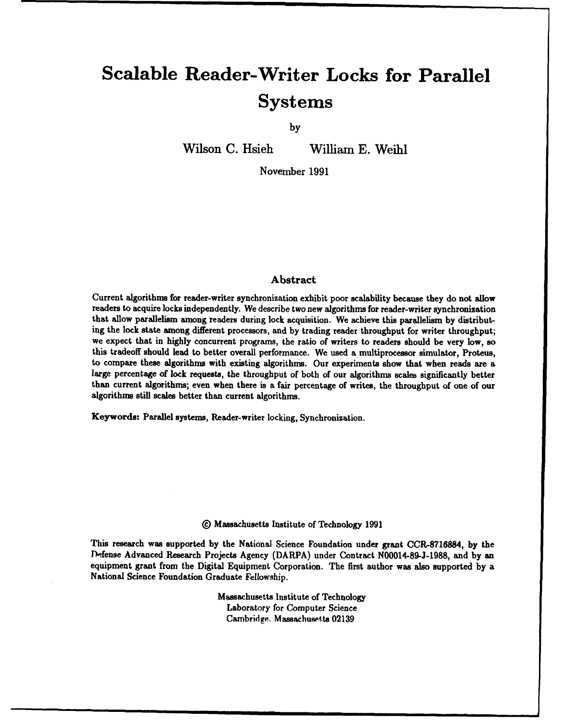# **Scalable Reader-Writer Locks for Parallel Systems**

**by**

Wilson **C.** Hsieh William **E. Weihl**

November **1991**

#### Abstract

Current algorithms for reader-writer synchronization exhibit poor scalability because they do not allow readers to acquire locks independently. We describe two new algorithms for reader-writer synchronization that allow parallelism among readers during lock acquisition. We achieve this parallelism **by** distributing the lock state among different processors, and **by** trading reader throughput for writer throughput; we expect that in **highly** concurrent programs, the ratio of writers to readers should be very low, **so** this tradeoff should lead to better overall performance. We used a multiprocessor simulator, Proteus, to compare these algorithms with existing algorithms. Our experiments show that when reads are a large percentage of lock requests, the throughput of both of our algorithms scales significantly better than current algorithms; even when there is a fair percentage of writes, the throughput of one of our algorithms still scales better than current algorithms.

Keywords: Parallel systems, Reader-writer locking, Synchronization.

#### **@** Massachusetts Institute of Technology **1991**

This research was supported **by** the National Science Foundation under grant **CCR-8716884, by** the Defense Advanced Research Projects Agency (DARPA) under Contract **N00014-89-J-1988,** and **by** an equipment grant from the Digital Equipment Corporation. The first author was also supported **by** a National Science Foundation Graduate Fellowship.

> Massachusetts Institute of Technology Laboratory for Computer Science Cambridge. Massachusetts **02139**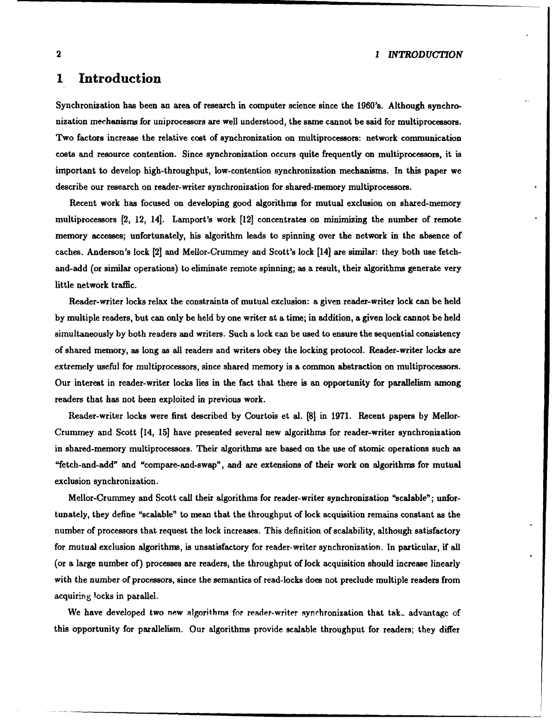#### 2 *1 INTROD UCTfON*

## **1 Introduction**

Synchronization has been an area of research in computer science since the **1960's.** Although synchronization mechanisms for uniprocessors are well understood, the same cannot be said for multiprocessors. Two factors increase the relative cost of synchronization on multiprocessors: network communication costs and resource contention. Since synchronization occurs quite frequently on multiprocessors, it is important to develop high-throughput, low-contention synchronization mechanisms. In this paper we describe our research on reader-writer synchronization for shared-memory multiprocessors.

Recent work has focused on developing good algorithms for mutual exclusion on shared-memory multiprocessors **[2,** 12, 14]. Lamport's work [12] concentrates on minimizing the number of remote memory accesses; unfortunately, his algorithm leads to spinning over the network in the absence of caches. Anderson's lock **[2]** and Mellor-Crummey and Scott's lock [14] are similar: they both use fetchand-add (or similar operations) to eliminate remote spinning; as a result, their algorithms generate very little network traffic.

Reader-writer locks relax the constraints of mutual exclusion: a given reader-writer lock can be held **by** multiple readers, but can only be held **by** one writer at a time; in addition, a given lock cannot be held simultaneously **by** both readers and writers. Such a lock can be used to ensure the sequential consistency of shared memory, as long as all readers and writers obey the locking protocol. Reader-writer locks are extremely useful for multiprocessors, since shared memory is a common abstraction on multiprocessors. Our interest in reader-writer locks lies in the fact that there is an opportunity for parallelism among readers that has not been exploited in previous work.

Reader-writer locks were first described **by** Courtois et al. **[8]** in **1971.** Recent papers **by** Mellor-Crummey and Scott [14, **15]** have presented several new algorithms for reader-writer synchronization in shared-memory multiprocessors. Their algorithms are based on the use of atomic operations such as "fetch-and-add" and "compare-and-swap", and are extensions of their work on algorithms for mutual exclusion synchronization.

Mellor-Crummey and Scott call their algorithms for reader-writer synchronization "scalable"; unfortunately, they define "scalable" to mean that the throughput of lock acquisition remains constant as the number of processors that request the lock increases. This definition of scalability, although satisfactory for mutual exclusion algorithms, is unsatisfactory for reader-writer synchronization. In particular, if all (or a large number of) processes are readers, the throughput of lock acquisition should increase linearly with the number of processors, since the semantics of read-locks does not preclude multiple readers from acquiring locks in parallel.

We have developed two new algorithms for reader-writer synchronization that tak, advantage of this opportunity for parallelism. Our algorithms provide scalable throughput for readers; they differ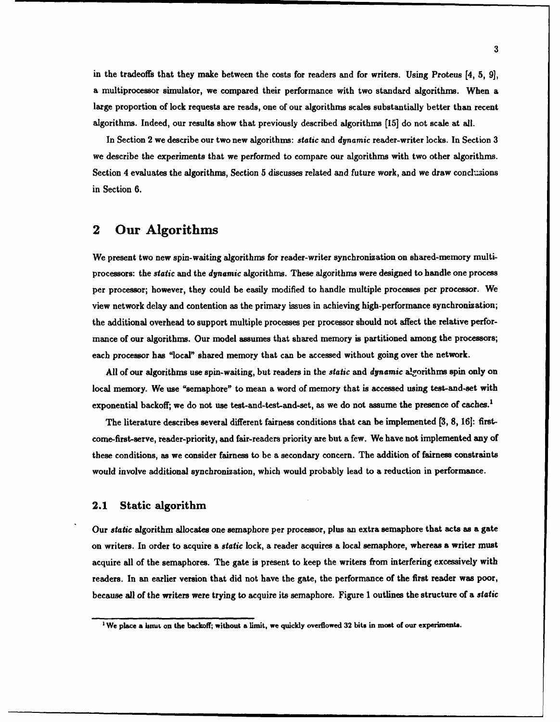in the tradeoffs that they make between the costs for readers and for writers. Using Proteus [4, **5, 9],** a multiprocessor simulator, we compared their performance with two standard algorithms. When a large proportion of lock requests are reads, one of our algorithms scales substantially better than recent algorithms. Indeed, our results show that previously described algorithms **[15]** do not scale at all.

In Section 2 we describe our two new algorithms: *static* and *dynamic* reader-writer locks. In Section **3** we describe the experiments that we performed to compare our algorithms with two other algorithms. Section 4 evaluates the algorithms, Section 5 discusses related and future work, and we draw conclusions in Section **6.**

## 2 Our Algorithms

We present two new spin-waiting algorithms for reader-writer synchronization on shared-memory multiprocessors: the *static* and the *dynamic* algorithms. These algorithms were designed to handle one process per processor; however, they could be easily modified to handle multiple processes per processor. We view network delay and contention as the primary issues in achieving high-performance synchronization; the additional overhead to support multiple processes per processor should not affect the relative performance of our algorithms. Our model assumes that shared memory is partitioned among the processors; each processor has "local" shared memory that can be accessed without going over the network.

All of our algorithms use spin-waiting, but readers in the *static* and *dynamic* algorithms spin only on local memory. We use "semaphore" to mean a word of memory that is accessed using test-and-set with exponential backoff; we do not use test-and-test-and-set, as we do not assume the presence of caches.'

The literature describes several different fairness conditions that can be implemented **(3, 8, 161:** firstcome-first-serve, reader-priority, and fair-readers priority are but a few. We have not implemented any of these conditions, as we consider fairness to be a secondary concern. The addition of fairness constraints would involve additional synchronization, which would probably lead to a reduction in performance.

#### 2.1 Static algorithm

Our *static* algorithm allocates one semaphore per processor, plus an extra semaphore that acts as a gate on writers. In order to acquire a *static* lock, a reader acquires a local semaphore, whereas a writer must acquire all of the semaphores. The gate is present to keep the writers from interfering excessively with readers. In an earlier version that did not have the gate, the performance of the first reader was poor, because all of the writers were trying to acquire its semaphore. Figure **1** outlines the structure of a *static*

**<sup>&#</sup>x27;We place a linut on the backoff; without a limit, we quickly overflowed 32 bits in most of our experiments.**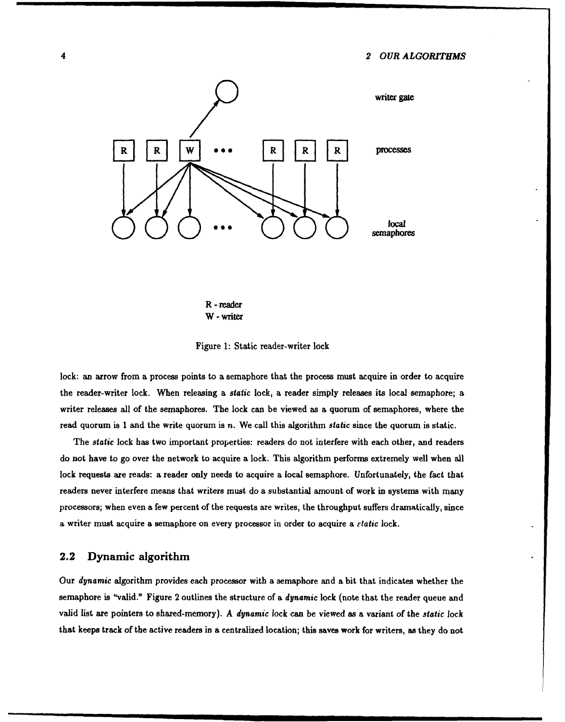

R - reader **W -**writer



lock: an arrow from a process points to a semaphore that the process must acquire in order to acquire the reader-writer lock. When releasing a *static* lock, a reader simply releases its local semaphore; a writer releases all of the semaphores. The lock can be viewed as a quorum of semaphores, where the read quorum is 1 and the write quorum is n. We call this algorithm *static* since the quorum is static.

The *static* lock has two important properties: readers do not interfere with each other, and readers do not have to go over the network to acquire a lock. This algorithm performs extremely well when all lock requests are reads: a reader only needs to acquire a local semaphore. Unfortunately, the fact that readers never interfere means that writers must do a substantial amount of work in systems with many processors; when even a few percent of the requests are writes, the throughput suffers dramatically, since a writer must acquire a semaphore on every processor in order to acquire a *static* lock.

#### 2.2 Dynamic algorithm

Our *dynamic* algorithm provides each processor with a semaphore and a bit that indicates whether the semaphore is "valid." Figure 2 outlines the structure of a *dynamic* lock (note that the reader queue and valid list are pointers to shared-memory). A *dynamic* lock can be viewed as a variant of the *static* lock that keeps track of the active readers in a centralized location; this saves work for writers, as they do not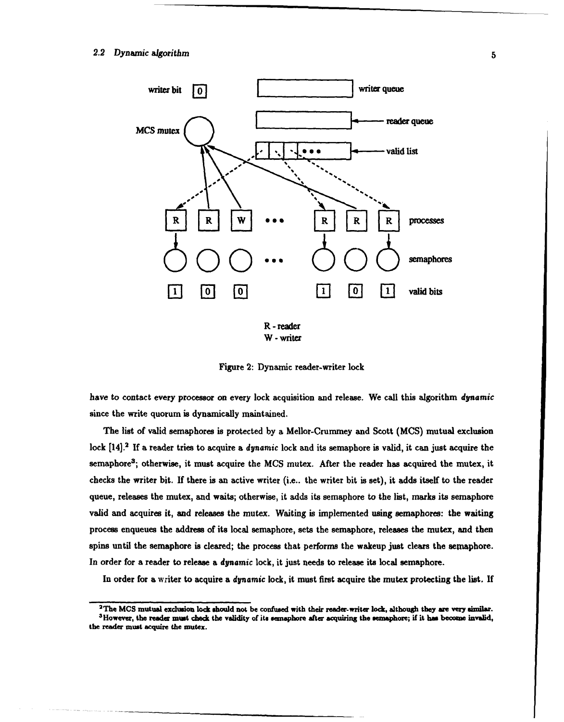

W -writer

Figure 2: Dynamic reader-writer lock

have to contact every processor on every lock acquisition and release. We call this algorithm *dynamic* since the write quorum is dynamically maintained.

The list of valid semaphores is protected **by** a Mellor-Crummey and Scott **(MCS)** mutual exclusion lock [14].<sup>2</sup> If a reader tries to acquire a *dynamic* lock and its semaphore is valid, it can just acquire the semaphore3 ; otherwise, it must acquire the **MCS** mutex. After the reader has acquired the mutex, it checks the writer bit. **If** there is an active writer (i.e.. the writer bit is set), it adds itself to the reader queue, releases the mutex, and waits; otherwise, it adds its semaphore to the list, marks its semaphore valid and acquires it, and releases the mutex. Waiting is implemented using semaphores: the waiting process enqueues the address of its local semaphore, sets the semaphore, releases the mutex, and then spins until the semaphore is cleared; the process that performs the wakeup just clears the semaphore. In order for a reader to release a *dynamic* lock, it just needs to release its local semaphore.

In order for a writer to acquire a *dynamic* lock, it must first acquire the mutex protecting the list. **If**

 $3$ The MCS mutual exclusion lock should not be confused with their reader-writer lock, although they are very similar.  $3$  However, the reader must check the validity of its semaphore after acquiring the semaphore; if it **the reader must acquire the mutex.**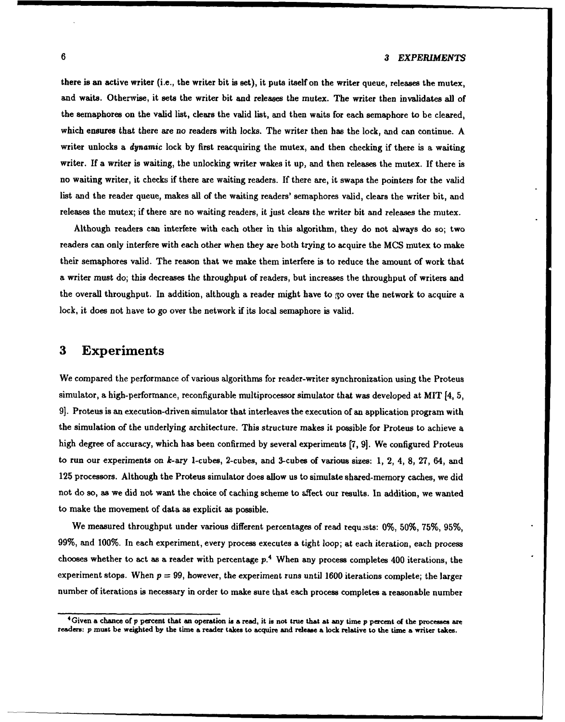there is an active writer (i.e., the writer bit is set), it puts itself on the writer queue, releases the mutex, and waits. Otherwise, it sets the writer bit and releases the mutex. The writer then invalidates all of the semaphores on the valid list, clears the valid list, and then waits for each semaphore to be cleared, which ensures that there are no readers with locks. The writer then has the lock, and can continue. **A** writer unlocks a *dynamic* lock **by** first reacquiring the mutex, and then checking if there is a waiting writer. **If** a writer is waiting, the unlocking writer wakes it up, and then releases the mutex. **If** there is no waiting writer, it checks if there are waiting readers. **If** there are, it swaps the pointers for the valid list and the reader queue, makes all of the waiting readers' semaphores valid, clears the writer bit, and releases the mutex; if there are no waiting readers, it just clears the writer bit and releases the mutex.

Although readers can interfere with each other in this algorithm, they do not always do so; two readers can only interfere with each other when they are both trying to acquire the **MCS** mutex to make their semaphores valid. The reason that we make them interfere is to reduce the amount of work that a writer must do; this decreases the throughput of readers, but increases the throughput of writers and the overall throughput. In addition, although a reader might have to go over the network to acquire a lock, it does not have to go over the network if its local semaphore is valid.

## **3** Experiments

We compared the performance of various algorithms for reader-writer synchronization using the Proteus simulator, a high-performance, reconfigurable multiprocessor simulator that was developed at MIT [4, **5, 9].** Proteus is an execution-driven simulator that interleaves the execution of an application program with the simulation of the underlying architecture. This structure makes it possible for Proteus to achieve a high degree of accuracy, which has been confirmed **by** several experiments **[7, 9].** We configured Proteus to run our experiments on k-ary 1-cubes, 2-cubes, and 3-cubes of various sizes: **1,** 2, 4, **8, 27,** 64, and **125** processors. Although the Proteus simulator does allow us to simulate shared-memory caches, we did not do so, as we did not want the choice of caching scheme to affect our results. In addition, we wanted to make the movement of data as explicit as possible.

We measured throughput under various different percentages of read requests: **0%, 50%, 75%, 95%, 99%,** and **100%.** In each experiment, every process executes a tight loop; at each iteration, each process chooses whether to act as a reader with percentage  $p<sup>4</sup>$  When any process completes 400 iterations, the experiment stops. When  $p = 99$ , however, the experiment runs until 1600 iterations complete; the larger number of iterations is necessary in order to make sure that each process completes a reasonable number

 $4$  Given a chance of  $p$  percent that an operation is a read, it is not true that at any time  $p$  percent of the processes are readers:  $p$  must be weighted by the time a reader takes to acquire and release a lock relati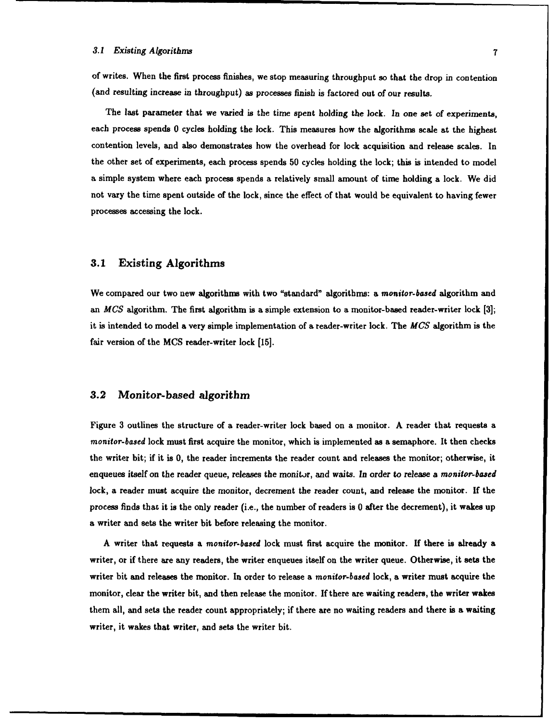of writes. When the first process finishes, we stop measuring throughput so that the drop **in** contention (and resulting increase in throughput) as processes finish is factored out of our results.

The last parameter that we varied is the time spent holding the lock. In one set of experiments, each process spends **0** cycles holding the lock. This measures how the algorithms scale at the highest contention levels, and also demonstrates how the overhead for lock acquisition and release scales. In the other set of experiments, each process spends **50** cycles holding the lock; this is intended to model a simple system where each process spends a relatively small amount of time holding a lock. We did not vary the time spent outside of the lock, since the effect of that would be equivalent to having fewer processes accessing the lock.

#### **3.1** Existing Algorithms

We compared our two new algorithms with two "standard" algorithms: a *monitor-based* algorithm and an *MCS* algorithm. The first algorithm is a simple extension to a monitor-based reader-writer lock **[3];** it is intended to model a very simple implementation of a reader-writer lock. The *MCS* algorithm is the fair version of the **MCS** reader-writer lock **[15].**

#### **3.2** Monitor-based algorithm

Figure **3** outlines the structure of a reader-writer lock based on a monitor. **A** reader that requests a *monitor-based* lock must first acquire the monitor, which is implemented as a semaphore. It then checks the writer bit; if it is **0,** the reader increments the reader count and releases the monitor; otherwise, it enqueues itself on the reader queue, releases the monitor, and waits. In order **to** release a *monitor-based* lock, a reader must acquire the monitor, decrement the reader count, and release the monitor. **If** the process finds that it is the only reader (i.e., the number of readers is **0** after the decrement), it wakes up a writer and sets the writer bit before releasing the monitor.

**A** writer that requests a *monitor-based* lock must first acquire the monitor. **If** there is already a writer, or if there are any readers, the writer enqueues itself on the writer queue. Otherwise, it sets the writer bit and releases the monitor. In order to release a *monitor-based* lock, a writer must acquire the monitor, clear the writer bit, and then release the monitor. **If** there are waiting readers, the writer wakes them all, and sets the reader count appropriately; if there are no waiting readers and there is a waiting writer, it wakes that writer, and sets the writer bit.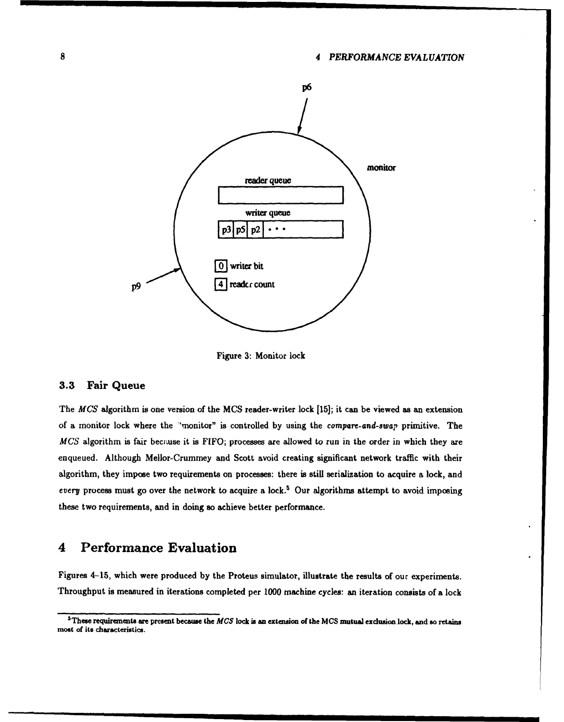#### **8** *4 PERFORMANCE EVALUATION*



Figure **3:** Monitor lock

#### **3.3** Fair Queue

The *MCS* algorithm is one version of the **MCS** reader-writer lock **[15];** it can be viewed as an extension of a monitor lock where the 'monitor" is controlled **by** using the *compare- and-swap* primitive. The *MCS* algorithm is fair because it is FIFO; processes are allowed to run in the order in which they are enqueued. Although Mellor-Crummey and Scott avoid creating significant network traffic with their algorithm, they impose two requirements on processes: there is still serialization to acquire a lock, and every process must go over the network to acquire a lock.<sup>5</sup> Our algorithms attempt to avoid imposing these two requirements, and in doing so achieve better performance.

## 4 Performance Evaluation

Figures 4-15, which were produced **by** the Proteus simulator, illustrate the results of our experiments. Throughput is measured in iterations completed per **1000** machine cycles: an iteration consists of a lock

<sup>3</sup>These requirements are present because the **MCS** lock is an extension of the **MCS** mutual exclusion lock, and so retains most of its characteristics.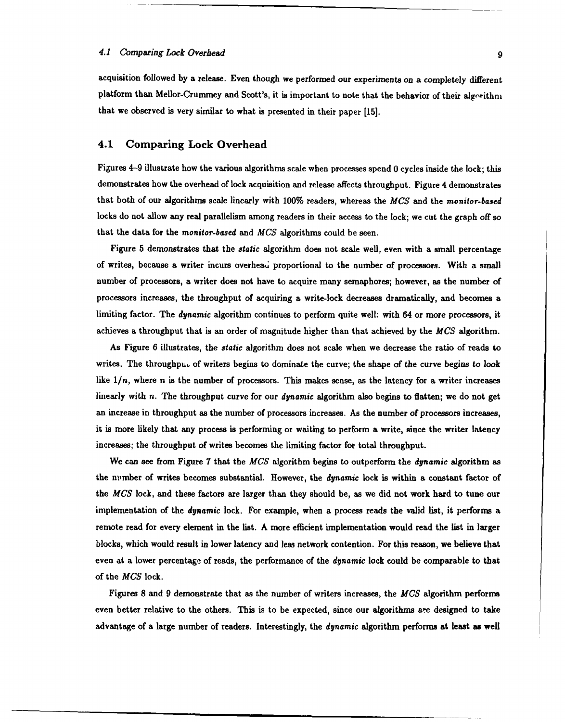acquisition followed **by** a release. Even though we performed our experiments on a completely different platform than Mellor-Crummey and Scott's, it is important to note that the behavior of their algorithm that we observed is very similar to what is presented in their paper **[15].**

#### 4.1 Comparing Lock Overhead

Figures 4-9 illustrate how the various algorithms scale when processes spend **0** cycles inside the lock; this demonstrates how the overhead of lock acquisition and release affects throughput. Figure 4 demonstrates that both of our algorithms scale linearly with **100%** readers, whereas the *MCS* and the *monitor-based* locks do not allow any real parallelism among readers in their access to the lock; we cut the graph off so that the data for the *monitor-based* and *MCS* algorithms could be seen.

Figure **5** demonstrates that the *static* algorithm does not scale well, even with a small percentage of writes, because a writer incurs overhead proportional to the number of processors. With a small number of processors, a writer does not have to acquire many semaphores; however, as the number of processors increases, the throughput of acquiring a write-lock decreases dramatically, and becomes a limiting factor. The dynamic algorithm continues to perform quite well: with 64 or more processors, it achieves a throughput that is an order of magnitude higher than that achieved **by** the *MCS* algorithm.

As Figure **6** illustrates, the *static* algorithm does **not** scale when we decrease the ratio of reads to writes. The throughput of writers begins to dominate the curve; the shape of the curve begins to look like  $1/n$ , where n is the number of processors. This makes sense, as the latency for a writer increases linearly with n. The throughput curve for our *dynamic* algorithm also begins to flatten; we do not get an increase in throughput as the number of processors increases. As the number of processors increases, it is more likely that any process is performing or waiting to perform a write, since the writer latency increases; the throughput of writes becomes the limiting factor for total throughput.

We can see from Figure **7** that the *MCS* algorithm begins to outperform the *dynamic* algorithm as the nimber of writes becomes substantial. However, the *dynamic* lock is within a constant factor of the *MCS* lock, and these factors are larger than they should be, as we did not work hard to tune our implementation of the *dynamic* lock. For example, when a process reads the valid list, it performs a remote read for every element in the **list. A** more efficient implementation would read the list in larger blocks, which would result in lower latency and less network contention. For this reason, we believe that even at a lower percentage of reads, the performance of the *dynamic* lock could be comparable to that of the *MCS* lock.

Figures **8** and **9** demonstrate that as the number of writers increases, the *MCS* algorithm performs even better relative to the others. This is to be expected, since our algorithms **are** designed to take advantage of a large number of readers. Interestingly, the *dynamic* algorithm performs at least as well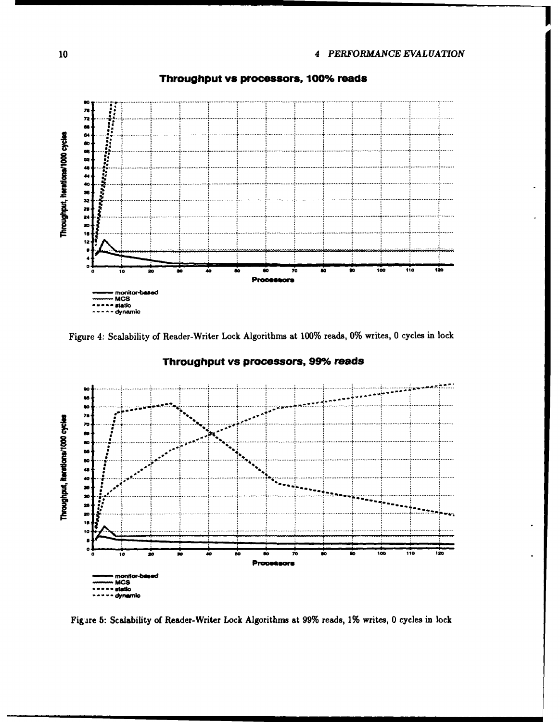

#### Throughput vs processors, 100% reads

Figure 4: Scalability of Reader-Writer Lock Algorithms at 100% reads, 0% writes, 0 cycles in lock



#### Throughput vs processors, 99% reads

Figure 5: Scalability of Reader-Writer Lock Algorithms at 99% reads, 1% writes, 0 cycles in lock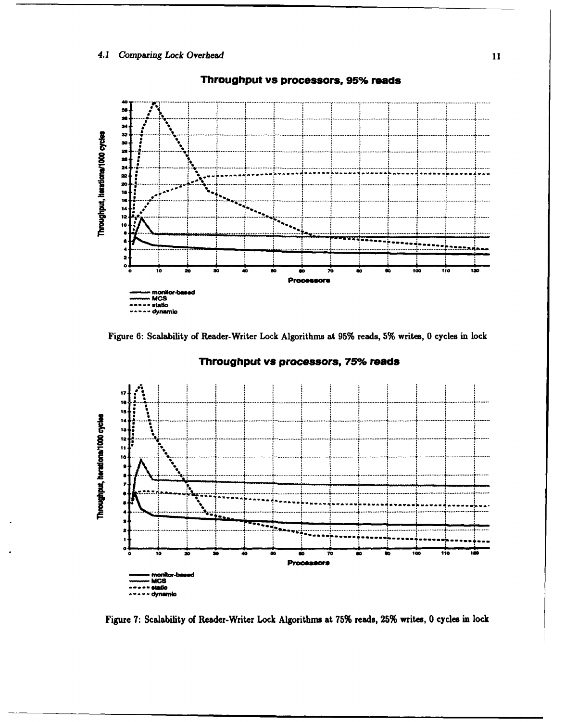#### 4.1 Comparing Lock Overhead



#### Throughput vs processors, 95% reads





#### Throughput vs processors, 75% reads

Figure 7: Scalability of Reader-Writer Lock Algorithms at 75% reads, 25% writes, 0 cycles in lock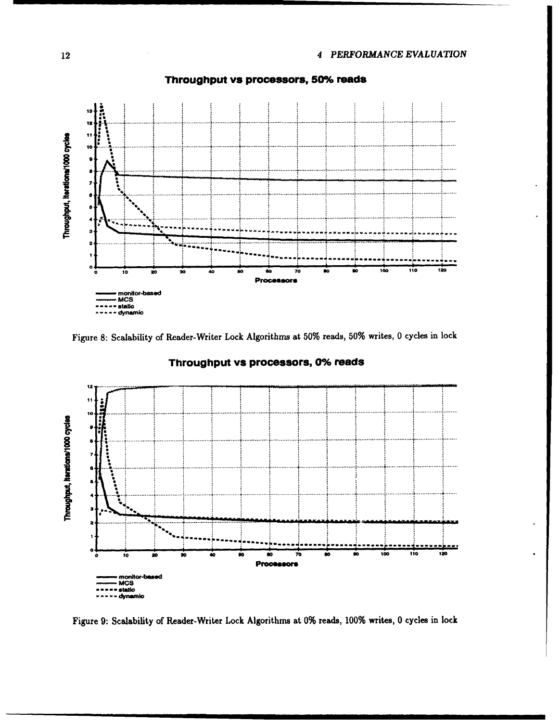

Throughput vs processors, 50% reads

Figure 8: Scalability of Reader-Writer Lock Algorithms at 50% reads, 50% writes, 0 cycles in lock



#### Throughput vs processors, 0% reads

Figure 9: Scalability of Reader-Writer Lock Algorithms at 0% reads, 100% writes, 0 cycles in lock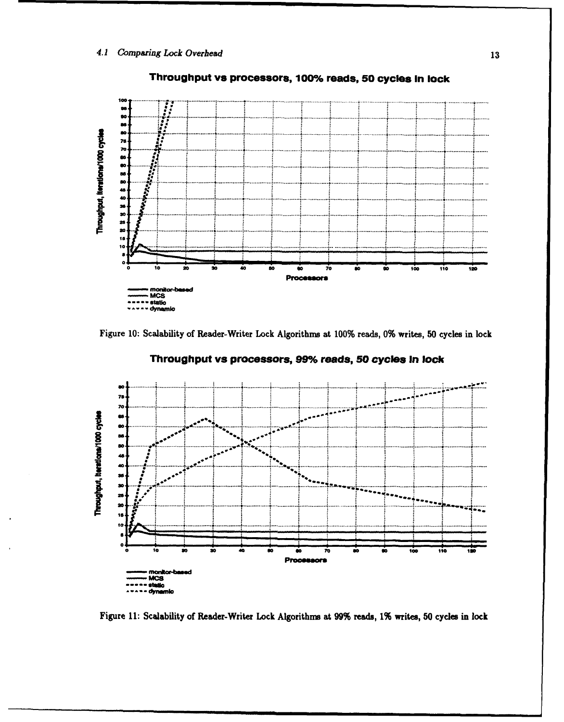

## Throughput vs processors, 100% reads, 50 cycles in lock

Figure 10: Scalability of Reader-Writer Lock Algorithms at 100% reads, 0% writes, 50 cycles in lock



Throughput vs processors, 99% reads, 50 cycles in lock

Figure 11: Scalability of Reader-Writer Lock Algorithms at 99% reads, 1% writes, 50 cycles in lock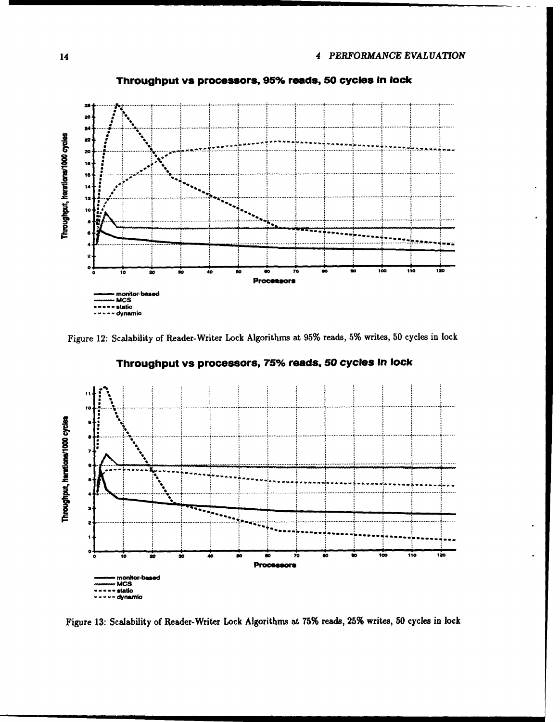

Throughput vs processors, 95% reads, 50 cycles in lock

Figure 12: Scalability of Reader-Writer Lock Algorithms at 95% reads, 5% writes, 50 cycles in lock



Throughput vs processors, 75% reads, 50 cycles In lock

Figure 13: Scalability of Reader-Writer Lock Algorithms at 75% reads, 25% writes, 50 cycles in lock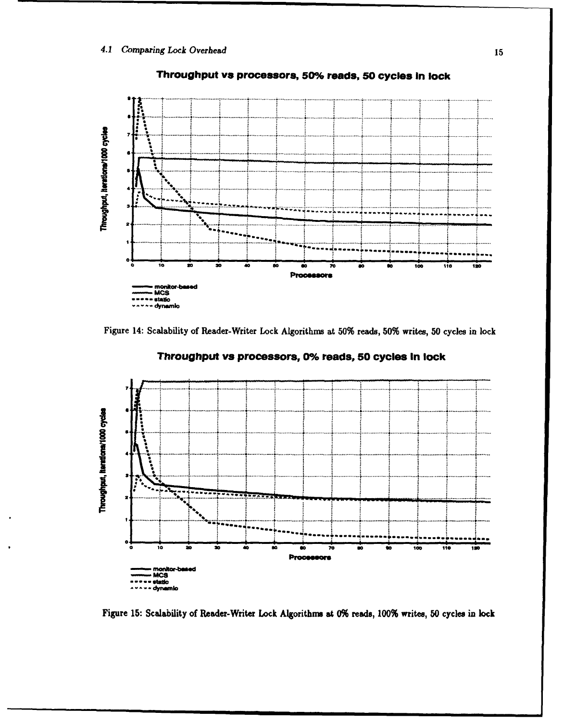

## Throughput vs processors, 50% reads, 50 cycles in lock





Throughput vs processors, 0% reads, 50 cycles in lock

Figure 15: Scalability of Reader-Writer Lock Algorithms at 0% reads, 100% writes, 50 cycles in lock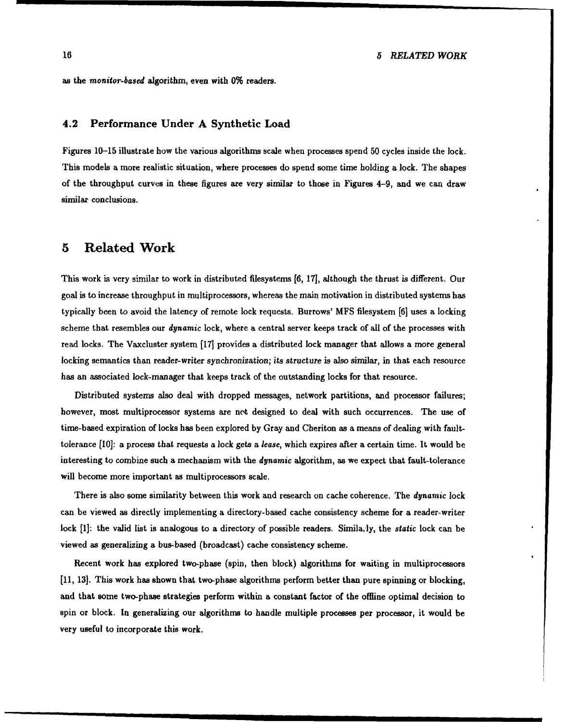as the *monitor-based* algorithm, even with **0%** readers.

#### **4.2 Performance Under A Synthetic Load**

Figures **10-15** illustrate how the various algorithms scale when processes spend **50** cycles inside the lock. This models a more realistic situation, where processes do spend some time holding a lock. The shapes of the throughput curves in these figures are very similar to those in Figures 4-9, and we can draw similar conclusions.

## **5** Related Work

This work is very similar to work in distributed filesystems **[6, 171,** although the thrust is different. Our goal is to increase throughput in multiprocessors, whereas the main motivation in distributed systems has typically been to avoid the latency of remote lock requests. Burrows' **MFS** filesystem **[6]** uses a locking scheme that resembles our *dynamic* lock, where a central server keeps track of all of the processes with read locks. The Vaxcluster system **[17]** provides a distributed lock manager that allows a more general locking semantics than reader-writer synchronization; *its* structure is also similar, in that each resource has an associated lock-manager that keeps track of the outstanding locks for that resource.

Distributed systems also deal with dropped messages, network partitions, and processor failures; however, most multiprocessor systems are not designed to deal with such occurrences. The use of time-based expiration of locks has been explored **by** Gray and Cheriton as a means of dealing with faulttolerance **(10]:** a process that requests a lock gets a *lease,* which expires after a certain time. It would be interesting to combine such a mechanism with the *dynamic* algorithm, as we expect that fault-tolerance will become more important as multiprocessors scale.

There is also some similarity between this work and research on cache coherence. The *dynamic* lock can be viewed as directly implementing a directory-based cache consistency scheme for a reader-writer lock [1]: the valid list is analogous to a directory of possible readers. Simila, ly, the static lock can be viewed as generalizing a bus-based (broadcast) cache consistency scheme.

Recent work has explored two-phase (spin, then block) algorithms for waiting in multiprocessors **[11, 13.** This work has shown that two-phase algorithms perform better than pure spinning or blocking, and that some two-phase strategies perform within a constant factor of the offline optimal decision to spin or block. In generalizing our algorithms to handle multiple processes per processor, it would be very useful to incorporate this work.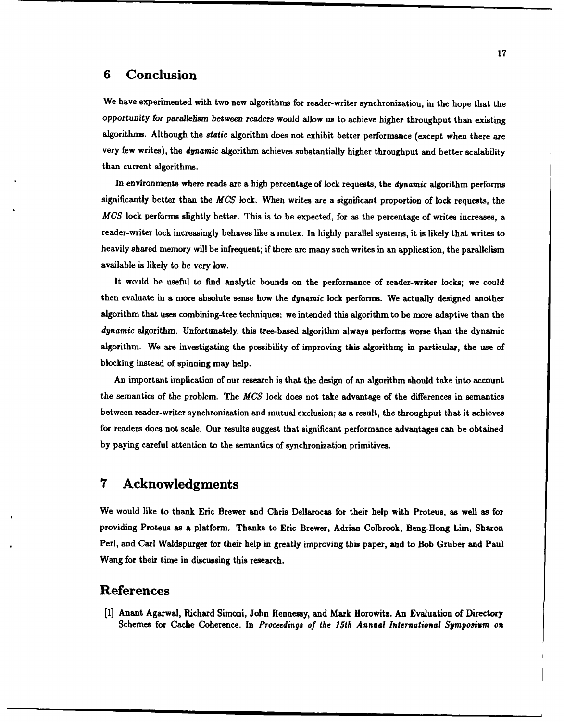## **6** Conclusion

We have experimented with two new algorithms for reader-writer synchronization, in the hope that the opportunity for parallelism *between* readers would allow us to achieve higher throughput than existing algorithms. Although the *static* algorithm does not exhibit better performance (except when there are very few writes), the *dynamic* algorithm achieves substantially higher throughput and better scalability than current algorithms.

In environments where reads are a high percentage of lock requests, the *dynamic* algorithm performs significantly better than the *MCS* lock. When writes are a significant proportion of lock requests, the *MCS* lock performs slightly better. This is to be expected, for as the percentage of writes increases, a reader-writer lock increasingly behaves like a mutex. In **highly** parallel systems, it is likely that writes to heavily shared memory will be infrequent; if there are many such writes in an application, the parallelism available is likely to be very low.

It would be useful to find analytic bounds on the performance of reader-writer locks; we could then evaluate in a more absolute sense how the *dynamic* lock performs. We actually designed another algorithm that uses combining-tree techniques: we intended this algorithm to be more adaptive than the *dynamic* algorithm. Unfortunately, this tree-based algorithm always performs worse than the dynamic algorithm. We are investigating the possibility of improving this algorithm; in particular, the use of blocking instead of spinning may help.

An important implication of our research is that the design of an algorithm should take into account the semantics of the problem. The *MCS* lock does not take advantage of the differences in semantics between reader-writer synchronization and mutual exclusion; as a result, the throughput that it achieves for readers does not scale. Our results suggest that significant performance advantages can be obtained **by** paying careful attention to the semantics of synchronization primitives.

## **7** Acknowledgments

We would like to thank Eric Brewer and Chris Dellarocas for their help with Proteus, as well as for providing Proteus as a platform. Thanks to Eric Brewer, Adrian Colbrook, Beng-Hong Lim, Sharon Perl, and Carl Waldspurger for their help in greatly improving this paper, and to Bob Gruber and Paul Wang for their time in discussing this research.

## References

**[1]** Anant Agarwal, Richard Simoni, John Hennessy, and Mark Horowitz. An Evaluation of Directory Schemes for Cache Coherence. In *Proceedings of the 15th Annual International Symposium on*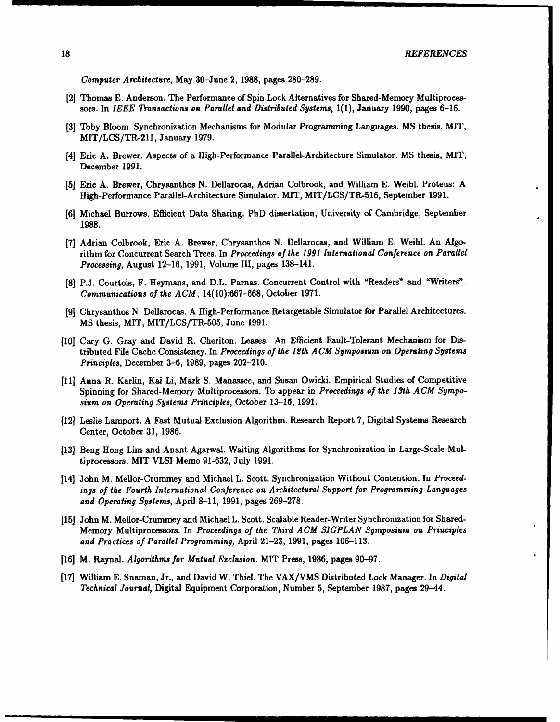*Computer Architecture,* May **30-June** 2, **1988,** pages **280-289.**

- **[2]** Thomas **E.** Anderson. The Performance of Spin Lock Alternatives for Shared-Memory Multiprocessors. In *IEEE Transactions on Parallel and Distributed Systems,* **1(1),** January **1990,** pages **6-16.**
- **(3]** Toby Bloom. Synchronization Mechanisms for Modular Programming Languages. **MS** thesis, MIT, MIT/LCS/TR,211, January **1979.**
- [4] Eric **A.** Brewer. Aspects of a High-Performance Parallel-Architecture Simulator. **MS** thesis, MIT, December **1991.**
- **[5]** Eric **A.** Brewer, Chrysanthos **N.** Dellarocas, Adrian Colbrook, and William **E.** Weihl. Proteus: **A** High-Performance Parallel-Architecture Simulator. MIT, MIT/LCS/TR-516, September **1991.**
- **[6]** Michael Burrows. Efficient Data Sharing. PhD dissertation, University of Cambridge, September **1988.**
- **[7]** Adrian Colbrook, Eric **A.** Brewer, Chrysanthos **N.** Dellarocas, and William **E.** Weihl. An Algorithm for Concurrent Search Trees. In *Proceedings of the 1991 International Conference on Parallel Processing,* August **12-16, 1991,** Volume III, pages 138-141.
- **[81 P.J.** Courtois, F. Heymans, and D.L. Parnas. Concurrent Control with "Readers" and "Writers". *Communications of the ACM,* **14(10):667-668,** October 1971.
- **[9]** Chrysanthos **N.** Dellarocas. **A** High-Performance Retargetable Simulator for Parallel Architectures. **MS** thesis, MIT, MIT/LCS/TR-505, June **1991.**
- **[10]** Cary **G.** Gray and David R. Cheriton. Leases: An Efficient Fault-Tolerant Mechanism for Distributed File Cache Consistency. In *Proceedings of the 12th A CM Symposium on Operating Systems Principles,* December **3-6, 1989,** pages 202-210.
- **[11]** Anna R. Karlin, Kai Li, Mark **S.** Manassee, and Susan Owicki. Empirical Studies of Competitive Spinning for Shared-Memory Multiprocessors. To appear in *Proceedings of the 13th ACM Symposium on Operating Systems Principles,* October **13-16, 1991.**
- [12] Leslie Lamport. **A** Fast Mutual Exclusion Algorithm. Research Report **7,** Digital Systems Research Center, October **31, 1986.**
- **[13]** Beng-Hong Lim and Anant Agarwal. Waiting Algorithms for Synchronization in Large-Scale Multiprocessors. MIT VLSI Memo **91-632,** July **1991.**
- [14] John M. Mellor-Crummey and Michael L. Scott. Synchronization Without Contention. In *Proceedings of the Fourth Internationol Conference on Architectural Support for Programming Languages and Operating Systems,* April **8-11, 1991,** pages **269-278.**
- **[15]** John M. Mellor-Crummey and Michael L. Scott. Scalable Reader-Writer Synchronization for Shared-Memory Multiprocessors. In *Proceedings of the Third ACM SIGPLAN Symposium on Principles and Practices of Parallel Programming,* April **21-23, 1991,** pages **106-113.**
- **[16]** M. Raynal. *Algorithms for Mutual Exclusion.* MIT Press, **1986,** pages **90-97.**
- **[17]** William **E.** Snaman, Jr., and David W. Thiel. The VAX/VMS Distributed Lock Manager. In *Digital Technical Journal,* Digital Equipment Corporation, Number **5,** September **1987,** pages 29-44.